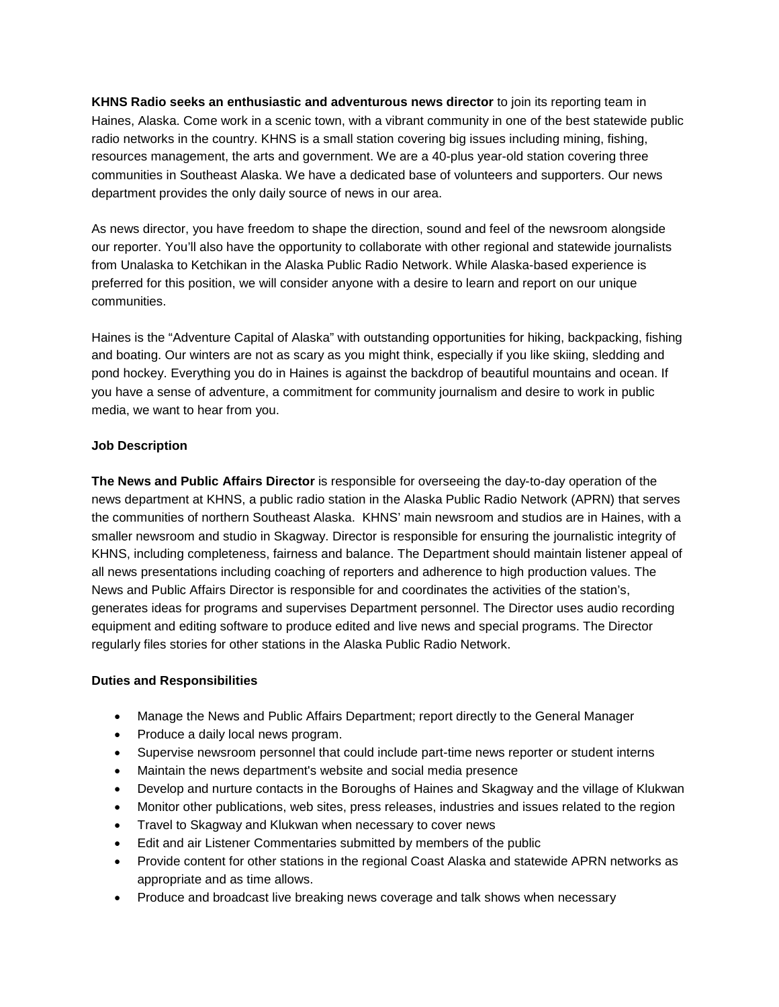**KHNS Radio seeks an enthusiastic and adventurous news director** to join its reporting team in Haines, Alaska. Come work in a scenic town, with a vibrant community in one of the best statewide public radio networks in the country. KHNS is a small station covering big issues including mining, fishing, resources management, the arts and government. We are a 40-plus year-old station covering three communities in Southeast Alaska. We have a dedicated base of volunteers and supporters. Our news department provides the only daily source of news in our area.

As news director, you have freedom to shape the direction, sound and feel of the newsroom alongside our reporter. You'll also have the opportunity to collaborate with other regional and statewide journalists from Unalaska to Ketchikan in the Alaska Public Radio Network. While Alaska-based experience is preferred for this position, we will consider anyone with a desire to learn and report on our unique communities.

Haines is the "Adventure Capital of Alaska" with outstanding opportunities for hiking, backpacking, fishing and boating. Our winters are not as scary as you might think, especially if you like skiing, sledding and pond hockey. Everything you do in Haines is against the backdrop of beautiful mountains and ocean. If you have a sense of adventure, a commitment for community journalism and desire to work in public media, we want to hear from you.

## **Job Description**

**The News and Public Affairs Director** is responsible for overseeing the day-to-day operation of the news department at KHNS, a public radio station in the Alaska Public Radio Network (APRN) that serves the communities of northern Southeast Alaska. KHNS' main newsroom and studios are in Haines, with a smaller newsroom and studio in Skagway. Director is responsible for ensuring the journalistic integrity of KHNS, including completeness, fairness and balance. The Department should maintain listener appeal of all news presentations including coaching of reporters and adherence to high production values. The News and Public Affairs Director is responsible for and coordinates the activities of the station's, generates ideas for programs and supervises Department personnel. The Director uses audio recording equipment and editing software to produce edited and live news and special programs. The Director regularly files stories for other stations in the Alaska Public Radio Network.

### **Duties and Responsibilities**

- Manage the News and Public Affairs Department; report directly to the General Manager
- Produce a daily local news program.
- Supervise newsroom personnel that could include part-time news reporter or student interns
- Maintain the news department's website and social media presence
- Develop and nurture contacts in the Boroughs of Haines and Skagway and the village of Klukwan
- Monitor other publications, web sites, press releases, industries and issues related to the region
- Travel to Skagway and Klukwan when necessary to cover news
- Edit and air Listener Commentaries submitted by members of the public
- Provide content for other stations in the regional Coast Alaska and statewide APRN networks as appropriate and as time allows.
- Produce and broadcast live breaking news coverage and talk shows when necessary